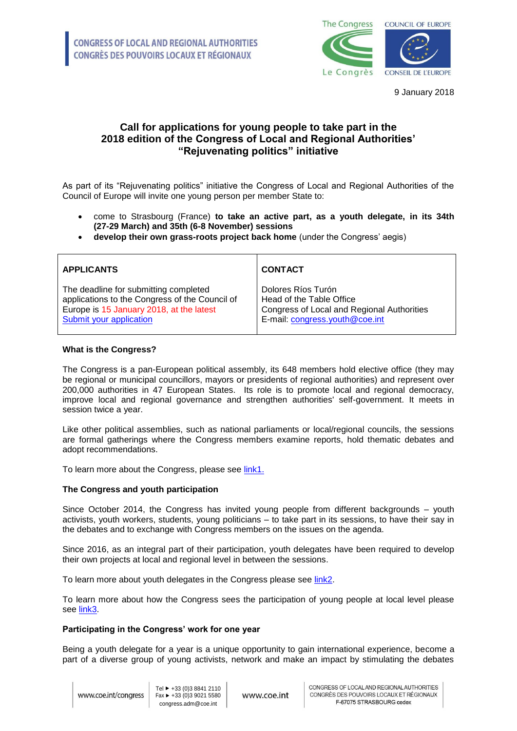

9 January 2018

# **Call for applications for young people to take part in the 2018 edition of the Congress of Local and Regional Authorities' "Rejuvenating politics" initiative**

As part of its "Rejuvenating politics" initiative the Congress of Local and Regional Authorities of the Council of Europe will invite one young person per member State to:

- come to Strasbourg (France) **to take an active part, as a youth delegate, in its 34th (27-29 March) and 35th (6-8 November) sessions**
- **develop their own grass-roots project back home** (under the Congress' aegis)

| <b>APPLICANTS</b>                              | <b>CONTACT</b>                             |
|------------------------------------------------|--------------------------------------------|
| The deadline for submitting completed          | Dolores Ríos Turón                         |
| applications to the Congress of the Council of | Head of the Table Office                   |
| Europe is 15 January 2018, at the latest       | Congress of Local and Regional Authorities |
| Submit your application                        | E-mail: congress.youth@coe.int             |

## **What is the Congress?**

The Congress is a pan-European political assembly, its 648 members hold elective office (they may be regional or municipal councillors, mayors or presidents of regional authorities) and represent over 200,000 authorities in 47 European States. Its role is to promote local and regional democracy, improve local and regional governance and strengthen authorities' self-government. It meets in session twice a year.

Like other political assemblies, such as national parliaments or local/regional councils, the sessions are formal gatherings where the Congress members examine reports, hold thematic debates and adopt recommendations.

To learn more about the Congress, please see [link1.](https://www.coe.int/en/web/congress/home)

## **The Congress and youth participation**

Since October 2014, the Congress has invited young people from different backgrounds – youth activists, youth workers, students, young politicians – to take part in its sessions, to have their say in the debates and to exchange with Congress members on the issues on the agenda.

Since 2016, as an integral part of their participation, youth delegates have been required to develop their own projects at local and regional level in between the sessions.

To learn more about youth delegates in the Congress please see [link2.](https://www.coe.int/en/web/congress/-youth-activities-of-the-congress-of-local-and-regional-authorities)

To learn more about how the Congress sees the participation of young people at local level please see [link3.](https://wcd.coe.int/com.instranet.InstraServlet?command=com.instranet.CmdBlobGet&InstranetImage=2966860&SecMode=1&DocId=2399586&Usage=2)

#### **Participating in the Congress' work for one year**

Being a youth delegate for a year is a unique opportunity to gain international experience, become a part of a diverse group of young activists, network and make an impact by stimulating the debates

www.coe.int/congress

Tel ► +33 (0)3 8841 2110 Fax ► +33 (0)3 9021 5580 congress.adm@coe.int

www.coe.int

CONGRESS OF LOCAL AND REGIONAL AUTHORITIES CONGRÈS DES POUVOIRS LOCAUX ET RÉGIONAUX F-67075 STRASBOURG cedex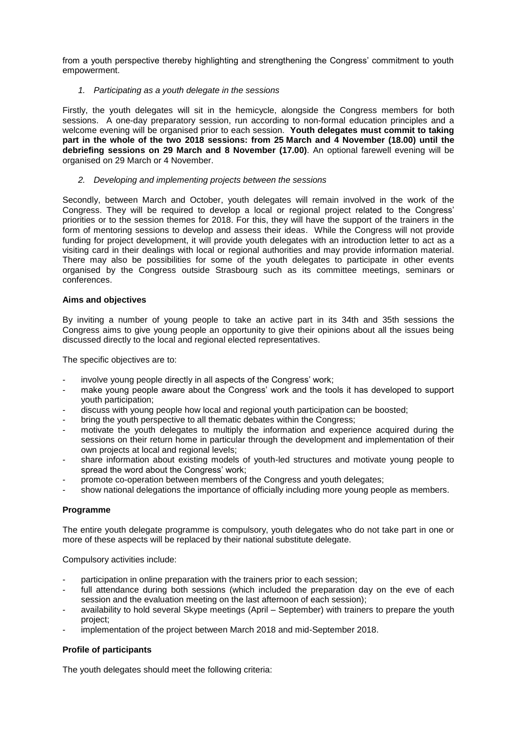from a youth perspective thereby highlighting and strengthening the Congress' commitment to youth empowerment.

## *1. Participating as a youth delegate in the sessions*

Firstly, the youth delegates will sit in the hemicycle, alongside the Congress members for both sessions. A one-day preparatory session, run according to non-formal education principles and a welcome evening will be organised prior to each session. **Youth delegates must commit to taking part in the whole of the two 2018 sessions: from 25 March and 4 November (18.00) until the debriefing sessions on 29 March and 8 November (17.00)**. An optional farewell evening will be organised on 29 March or 4 November.

### *2. Developing and implementing projects between the sessions*

Secondly, between March and October, youth delegates will remain involved in the work of the Congress. They will be required to develop a local or regional project related to the Congress' priorities or to the session themes for 2018. For this, they will have the support of the trainers in the form of mentoring sessions to develop and assess their ideas. While the Congress will not provide funding for project development, it will provide youth delegates with an introduction letter to act as a visiting card in their dealings with local or regional authorities and may provide information material. There may also be possibilities for some of the youth delegates to participate in other events organised by the Congress outside Strasbourg such as its committee meetings, seminars or conferences.

### **Aims and objectives**

By inviting a number of young people to take an active part in its 34th and 35th sessions the Congress aims to give young people an opportunity to give their opinions about all the issues being discussed directly to the local and regional elected representatives.

The specific objectives are to:

- involve young people directly in all aspects of the Congress' work;
- make young people aware about the Congress' work and the tools it has developed to support youth participation;
- discuss with young people how local and regional youth participation can be boosted;
- bring the youth perspective to all thematic debates within the Congress;
- motivate the youth delegates to multiply the information and experience acquired during the sessions on their return home in particular through the development and implementation of their own projects at local and regional levels;
- share information about existing models of youth-led structures and motivate young people to spread the word about the Congress' work;
- promote co-operation between members of the Congress and youth delegates;
- show national delegations the importance of officially including more young people as members.

## **Programme**

The entire youth delegate programme is compulsory, youth delegates who do not take part in one or more of these aspects will be replaced by their national substitute delegate.

Compulsory activities include:

- participation in online preparation with the trainers prior to each session;
- full attendance during both sessions (which included the preparation day on the eve of each session and the evaluation meeting on the last afternoon of each session);
- availability to hold several Skype meetings (April September) with trainers to prepare the youth project;
- implementation of the project between March 2018 and mid-September 2018.

## **Profile of participants**

The youth delegates should meet the following criteria: